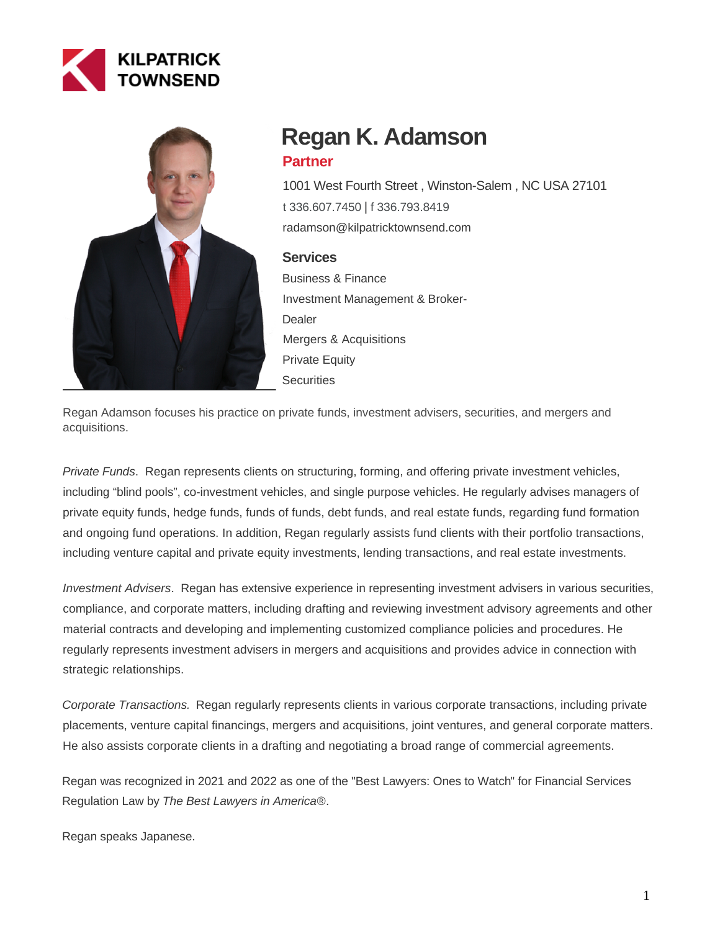



# **Regan K. Adamson Partner**

1001 West Fourth Street , Winston-Salem , NC USA 27101 [t 336.607.7450](tel:336.607.7450) | [f 336.793.8419](fax:336.793.8419) radamson@kilpatricktownsend.com

### **Services**

Business & Finance Investment Management & Broker-**Dealer** Mergers & Acquisitions Private Equity **Securities** 

Regan Adamson focuses his practice on private funds, investment advisers, securities, and mergers and acquisitions.

Private Funds. Regan represents clients on structuring, forming, and offering private investment vehicles, including "blind pools", co-investment vehicles, and single purpose vehicles. He regularly advises managers of private equity funds, hedge funds, funds of funds, debt funds, and real estate funds, regarding fund formation and ongoing fund operations. In addition, Regan regularly assists fund clients with their portfolio transactions, including venture capital and private equity investments, lending transactions, and real estate investments.

Investment Advisers. Regan has extensive experience in representing investment advisers in various securities, compliance, and corporate matters, including drafting and reviewing investment advisory agreements and other material contracts and developing and implementing customized compliance policies and procedures. He regularly represents investment advisers in mergers and acquisitions and provides advice in connection with strategic relationships.

Corporate Transactions. Regan regularly represents clients in various corporate transactions, including private placements, venture capital financings, mergers and acquisitions, joint ventures, and general corporate matters. He also assists corporate clients in a drafting and negotiating a broad range of commercial agreements.

Regan was recognized in 2021 and 2022 as one of the "Best Lawyers: Ones to Watch" for Financial Services Regulation Law by The Best Lawyers in America®.

Regan speaks Japanese.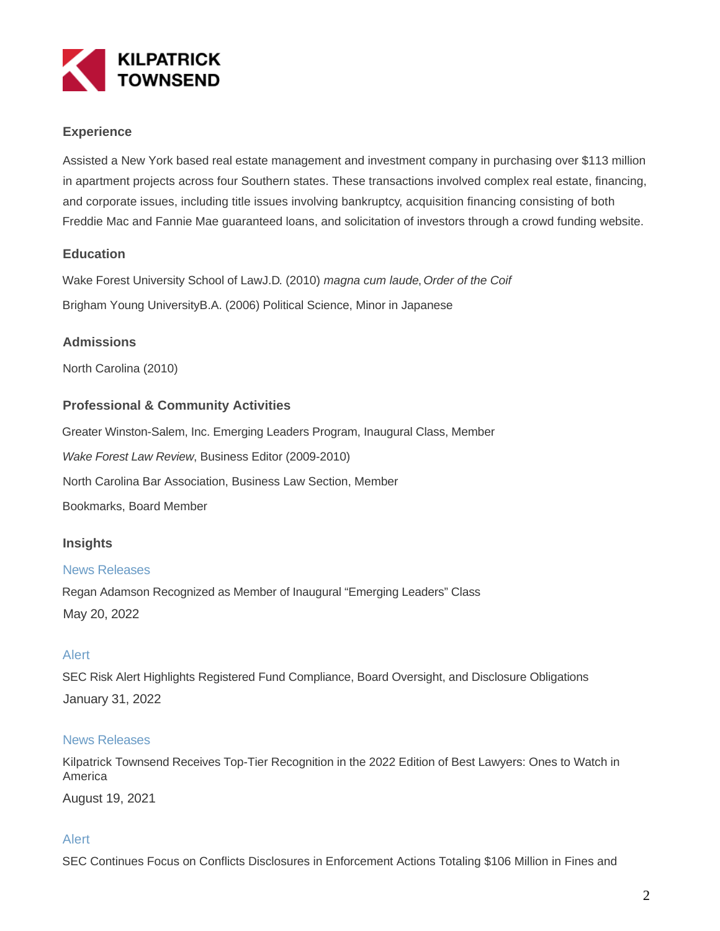

## **Experience**

Assisted a New York based real estate management and investment company in purchasing over \$113 million in apartment projects across four Southern states. These transactions involved complex real estate, financing, and corporate issues, including title issues involving bankruptcy, acquisition financing consisting of both Freddie Mac and Fannie Mae guaranteed loans, and solicitation of investors through a crowd funding website.

### **Education**

Wake Forest University School of LawJ.D. (2010) magna cum laude, Order of the Coif Brigham Young UniversityB.A. (2006) Political Science, Minor in Japanese

## **Admissions**

North Carolina (2010)

### **Professional & Community Activities**

Greater Winston-Salem, Inc. Emerging Leaders Program, Inaugural Class, Member Wake Forest Law Review, Business Editor (2009-2010) North Carolina Bar Association, Business Law Section, Member Bookmarks, Board Member

### **Insights**

#### News Releases

Regan Adamson Recognized as Member of Inaugural "Emerging Leaders" Class May 20, 2022

### Alert

SEC Risk Alert Highlights Registered Fund Compliance, Board Oversight, and Disclosure Obligations January 31, 2022

#### News Releases

Kilpatrick Townsend Receives Top-Tier Recognition in the 2022 Edition of Best Lawyers: Ones to Watch in America

August 19, 2021

### Alert

SEC Continues Focus on Conflicts Disclosures in Enforcement Actions Totaling \$106 Million in Fines and